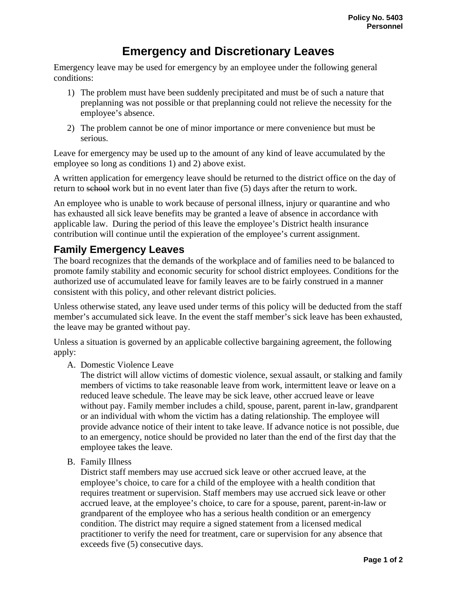## **Emergency and Discretionary Leaves**

Emergency leave may be used for emergency by an employee under the following general conditions:

- 1) The problem must have been suddenly precipitated and must be of such a nature that preplanning was not possible or that preplanning could not relieve the necessity for the employee's absence.
- 2) The problem cannot be one of minor importance or mere convenience but must be serious.

Leave for emergency may be used up to the amount of any kind of leave accumulated by the employee so long as conditions 1) and 2) above exist.

A written application for emergency leave should be returned to the district office on the day of return to school work but in no event later than five (5) days after the return to work.

An employee who is unable to work because of personal illness, injury or quarantine and who has exhausted all sick leave benefits may be granted a leave of absence in accordance with applicable law. During the period of this leave the employee's District health insurance contribution will continue until the expieration of the employee's current assignment.

## **Family Emergency Leaves**

The board recognizes that the demands of the workplace and of families need to be balanced to promote family stability and economic security for school district employees. Conditions for the authorized use of accumulated leave for family leaves are to be fairly construed in a manner consistent with this policy, and other relevant district policies.

Unless otherwise stated, any leave used under terms of this policy will be deducted from the staff member's accumulated sick leave. In the event the staff member's sick leave has been exhausted, the leave may be granted without pay.

Unless a situation is governed by an applicable collective bargaining agreement, the following apply:

A. Domestic Violence Leave

The district will allow victims of domestic violence, sexual assault, or stalking and family members of victims to take reasonable leave from work, intermittent leave or leave on a reduced leave schedule. The leave may be sick leave, other accrued leave or leave without pay. Family member includes a child, spouse, parent, parent in-law, grandparent or an individual with whom the victim has a dating relationship. The employee will provide advance notice of their intent to take leave. If advance notice is not possible, due to an emergency, notice should be provided no later than the end of the first day that the employee takes the leave.

B. Family Illness

District staff members may use accrued sick leave or other accrued leave, at the employee's choice, to care for a child of the employee with a health condition that requires treatment or supervision. Staff members may use accrued sick leave or other accrued leave, at the employee's choice, to care for a spouse, parent, parent-in-law or grandparent of the employee who has a serious health condition or an emergency condition. The district may require a signed statement from a licensed medical practitioner to verify the need for treatment, care or supervision for any absence that exceeds five (5) consecutive days.